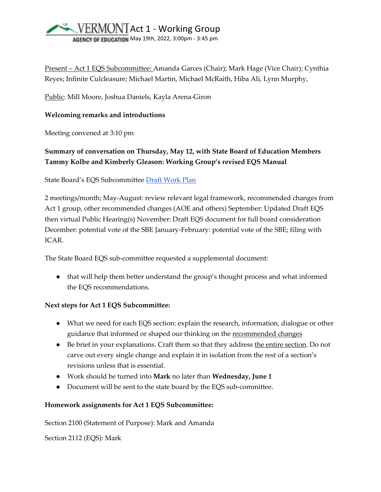

Present – Act 1 EQS Subcommittee: Amanda Garces (Chair); Mark Hage (Vice Chair); Cynthia Reyes; Infinite Culcleasure; Michael Martin, Michael McRaith, Hiba Ali, Lynn Murphy,

Public: Mill Moore, Joshua Daniels, Kayla Arena-Giron

### **Welcoming remarks and introductions**

Meeting convened at 3:10 pm

# **Summary of conversation on Thursday, May 12, with State Board of Education Members Tammy Kolbe and Kimberly Gleason: Working Group's revised EQS Manual**

State Board's EQS Subcommittee [Draft Work Plan](https://education.vermont.gov/sites/aoe/files/documents/EQS%20Committee%20Charge%20Work%20Plan-5-13-22.pdf) 

2 meetings/month; May-August: review relevant legal framework, recommended changes from Act 1 group, other recommended changes (AOE and others) September: Updated Draft EQS then virtual Public Hearing(s) November: Draft EQS document for full board consideration December: potential vote of the SBE January-February: potential vote of the SBE; filing with ICAR.

The State Board EQS sub-committee requested a supplemental document:

● that will help them better understand the group's thought process and what informed the EQS recommendations.

### **Next steps for Act 1 EQS Subcommittee:**

- What we need for each EQS section: explain the research, information, dialogue or other guidance that informed or shaped our thinking on the recommended changes
- Be brief in your explanations. Craft them so that they address the entire section. Do not carve out every single change and explain it in isolation from the rest of a section's revisions unless that is essential.
- Work should be turned into **Mark** no later than **Wednesday, June 1**
- Document will be sent to the state board by the EQS sub-committee.

## **Homework assignments for Act 1 EQS Subcommittee:**

Section 2100 (Statement of Purpose): Mark and Amanda

Section 2112 (EQS): Mark